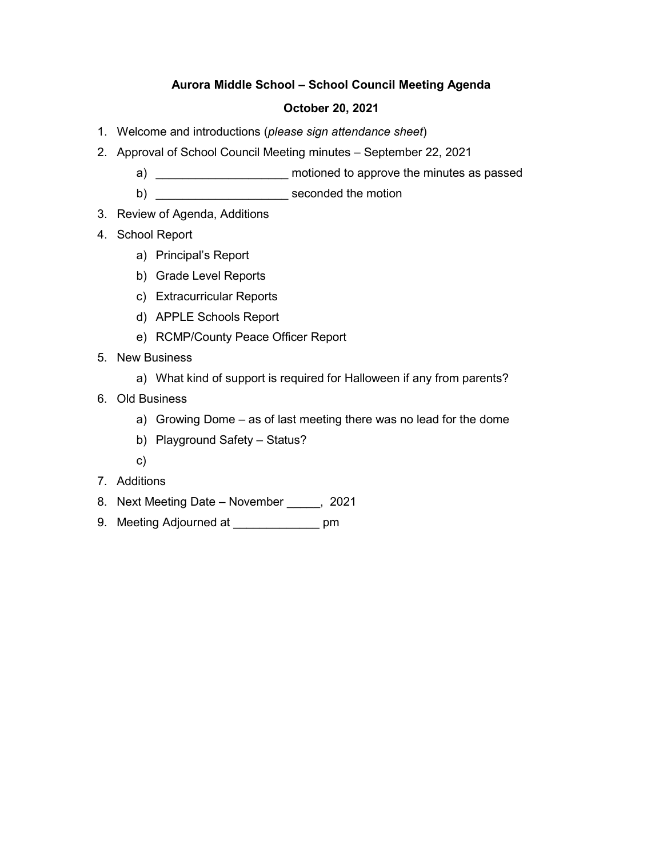## **Aurora Middle School – School Council Meeting Agenda**

### **October 20, 2021**

- 1. Welcome and introductions (*please sign attendance sheet*)
- 2. Approval of School Council Meeting minutes September 22, 2021
	- a) \_\_\_\_\_\_\_\_\_\_\_\_\_\_\_\_\_\_\_\_\_\_\_ motioned to approve the minutes as passed
	- b) **b**
- 3. Review of Agenda, Additions
- 4. School Report
	- a) Principal's Report
	- b) Grade Level Reports
	- c) Extracurricular Reports
	- d) APPLE Schools Report
	- e) RCMP/County Peace Officer Report
- 5. New Business
	- a) What kind of support is required for Halloween if any from parents?
- 6. Old Business
	- a) Growing Dome as of last meeting there was no lead for the dome
	- b) Playground Safety Status?
	- c)
- 7. Additions
- 8. Next Meeting Date November \_\_\_\_\_, 2021
- 9. Meeting Adjourned at \_\_\_\_\_\_\_\_\_\_\_\_\_\_ pm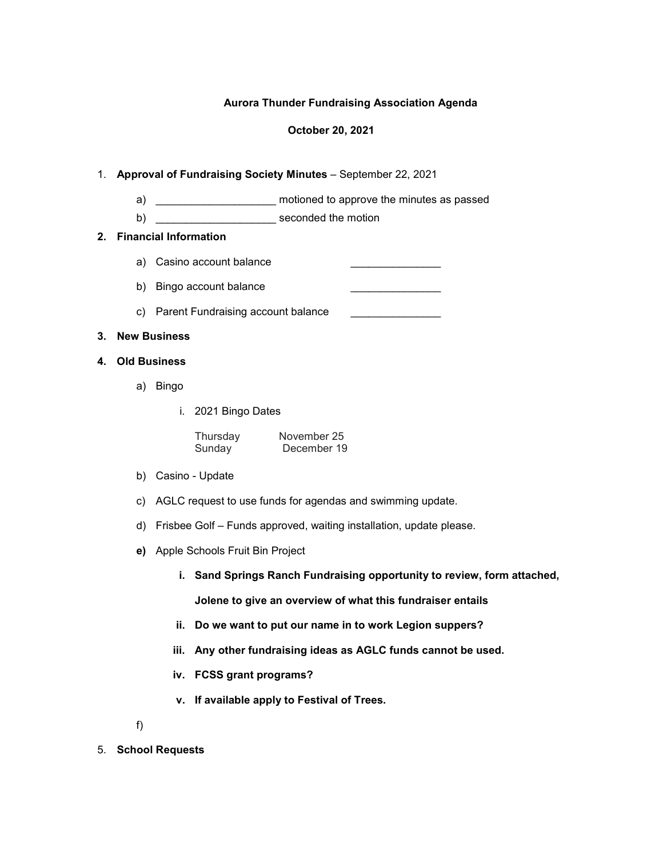### **Aurora Thunder Fundraising Association Agenda**

#### **October 20, 2021**

### 1. **Approval of Fundraising Society Minutes** – September 22, 2021

- a) \_\_\_\_\_\_\_\_\_\_\_\_\_\_\_\_\_\_\_\_\_\_\_ motioned to approve the minutes as passed
- b) \_\_\_\_\_\_\_\_\_\_\_\_\_\_\_\_\_\_\_\_ seconded the motion

### **2. Financial Information**

- a) Casino account balance
- b) Bingo account balance
- c) Parent Fundraising account balance \_\_\_\_\_\_\_\_\_\_\_\_\_\_\_\_\_\_

### **3. New Business**

- **4. Old Business**
	- a) Bingo
		- i. 2021 Bingo Dates

| Thursday | November 25 |  |  |
|----------|-------------|--|--|
| Sunday   | December 19 |  |  |

- b) Casino Update
- c) AGLC request to use funds for agendas and swimming update.
- d) Frisbee Golf Funds approved, waiting installation, update please.
- **e)** Apple Schools Fruit Bin Project
	- **i. Sand Springs Ranch Fundraising opportunity to review, form attached,**

**Jolene to give an overview of what this fundraiser entails**

- **ii. Do we want to put our name in to work Legion suppers?**
- **iii. Any other fundraising ideas as AGLC funds cannot be used.**
- **iv. FCSS grant programs?**
- **v. If available apply to Festival of Trees.**

f)

5. **School Requests**